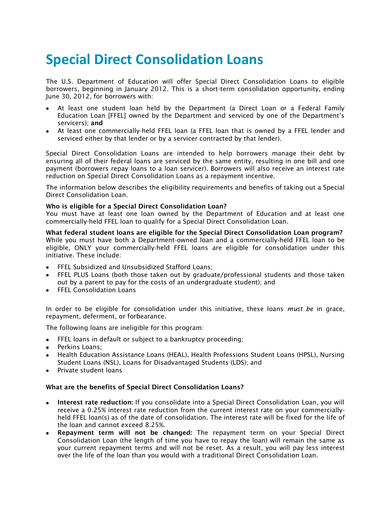# **Special Direct Consolidation Loans**

The U.S. Department of Education will offer Special Direct Consolidation Loans to eligible borrowers, beginning in January 2012. This is a short-term consolidation opportunity, ending June 30, 2012, for borrowers with:

- At least one student loan held by the Department (a Direct Loan or a Federal Family Education Loan [FFEL] owned by the Department and serviced by one of the Department's servicers); **and**
- At least one commercially-held FFEL loan (a FFEL loan that is owned by a FFEL lender and serviced either by that lender or by a servicer contracted by that lender).

Special Direct Consolidation Loans are intended to help borrowers manage their debt by ensuring all of their federal loans are serviced by the same entity, resulting in one bill and one payment (borrowers repay loans to a loan servicer). Borrowers will also receive an interest rate reduction on Special Direct Consolidation Loans as a repayment incentive.

The information below describes the eligibility requirements and benefits of taking out a Special Direct Consolidation Loan.

## **Who is eligible for a Special Direct Consolidation Loan?**

You must have at least one loan owned by the Department of Education and at least one commercially-held FFEL loan to qualify for a Special Direct Consolidation Loan.

**What federal student loans are eligible for the Special Direct Consolidation Loan program?** While you must have both a Department-owned loan and a commercially-held FFEL loan to be eligible, ONLY your commercially-held FFEL loans are eligible for consolidation under this initiative. These include:

- FFEL Subsidized and Unsubsidized Stafford Loans;
- FFEL PLUS Loans (both those taken out by graduate/professional students and those taken out by a parent to pay for the costs of an undergraduate student); and
- FFEL Consolidation Loans

In order to be eligible for consolidation under this initiative, these loans *must be* in grace, repayment, deferment, or forbearance.

The following loans are ineligible for this program:

- FFEL loans in default or subject to a bankruptcy proceeding;  $\bullet$
- Perkins Loans;
- Health Education Assistance Loans (HEAL), Health Professions Student Loans (HPSL), Nursing Student Loans (NSL), Loans for Disadvantaged Students (LDS); and
- Private student loans

#### **What are the benefits of Special Direct Consolidation Loans?**

- **Interest rate reduction:** If you consolidate into a Special Direct Consolidation Loan, you will receive a 0.25% interest rate reduction from the current interest rate on your commerciallyheld FFEL loan(s) as of the date of consolidation. The interest rate will be fixed for the life of the loan and cannot exceed 8.25%.
- **Repayment term will not be changed:** The repayment term on your Special Direct Consolidation Loan (the length of time you have to repay the loan) will remain the same as your current repayment terms and will not be reset. As a result, you will pay less interest over the life of the loan than you would with a traditional Direct Consolidation Loan.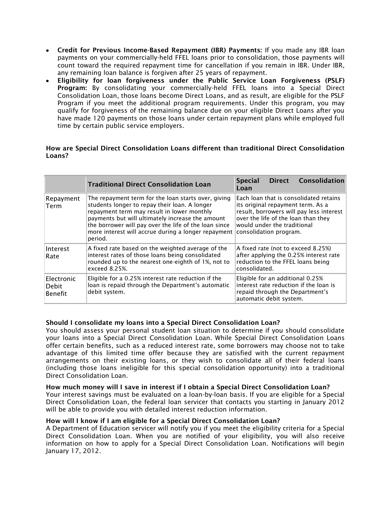- **Credit for Previous Income-Based Repayment (IBR) Payments:** If you made any IBR loan payments on your commercially-held FFEL loans prior to consolidation, those payments will count toward the required repayment time for cancellation if you remain in IBR. Under IBR, any remaining loan balance is forgiven after 25 years of repayment.
- **Eligibility for loan forgiveness under the Public Service Loan Forgiveness (PSLF) Program:** By consolidating your commercially-held FFEL loans into a Special Direct Consolidation Loan, those loans become Direct Loans, and as result, are eligible for the PSLF Program if you meet the additional program requirements. Under this program, you may qualify for forgiveness of the remaining balance due on your eligible Direct Loans after you have made 120 payments on those loans under certain repayment plans while employed full time by certain public service employers.

## **How are Special Direct Consolidation Loans different than traditional Direct Consolidation Loans?**

|                                | <b>Traditional Direct Consolidation Loan</b>                                                                                                                                                                                                                                                                                      | Consolidation<br><b>Direct</b><br><b>Special</b><br>Loan                                                                                                                                                                |
|--------------------------------|-----------------------------------------------------------------------------------------------------------------------------------------------------------------------------------------------------------------------------------------------------------------------------------------------------------------------------------|-------------------------------------------------------------------------------------------------------------------------------------------------------------------------------------------------------------------------|
| Repayment<br>Term              | The repayment term for the loan starts over, giving<br>students longer to repay their loan. A longer<br>repayment term may result in lower monthly<br>payments but will ultimately increase the amount<br>the borrower will pay over the life of the loan since<br>more interest will accrue during a longer repayment<br>period. | Each loan that is consolidated retains<br>its original repayment term. As a<br>result, borrowers will pay less interest<br>over the life of the loan than they<br>would under the traditional<br>consolidation program. |
| Interest<br>Rate               | A fixed rate based on the weighted average of the<br>interest rates of those loans being consolidated<br>rounded up to the nearest one-eighth of 1%, not to<br>exceed 8.25%.                                                                                                                                                      | A fixed rate (not to exceed 8.25%)<br>after applying the 0.25% interest rate<br>reduction to the FFEL loans being<br>consolidated.                                                                                      |
| Electronic<br>Debit<br>Benefit | Eligible for a 0.25% interest rate reduction if the<br>loan is repaid through the Department's automatic<br>debit system.                                                                                                                                                                                                         | Eligible for an additional 0.25%<br>interest rate reduction if the loan is<br>repaid through the Department's<br>automatic debit system.                                                                                |

# **Should I consolidate my loans into a Special Direct Consolidation Loan?**

You should assess your personal student loan situation to determine if you should consolidate your loans into a Special Direct Consolidation Loan. While Special Direct Consolidation Loans offer certain benefits, such as a reduced interest rate, some borrowers may choose not to take advantage of this limited time offer because they are satisfied with the current repayment arrangements on their existing loans, or they wish to consolidate all of their federal loans (including those loans ineligible for this special consolidation opportunity) into a traditional Direct Consolidation Loan.

# **How much money will I save in interest if I obtain a Special Direct Consolidation Loan?**

Your interest savings must be evaluated on a loan-by-loan basis. If you are eligible for a Special Direct Consolidation Loan, the federal loan servicer that contacts you starting in January 2012 will be able to provide you with detailed interest reduction information.

# **How will I know if I am eligible for a Special Direct Consolidation Loan?**

A Department of Education servicer will notify you if you meet the eligibility criteria for a Special Direct Consolidation Loan. When you are notified of your eligibility, you will also receive information on how to apply for a Special Direct Consolidation Loan. Notifications will begin January 17, 2012.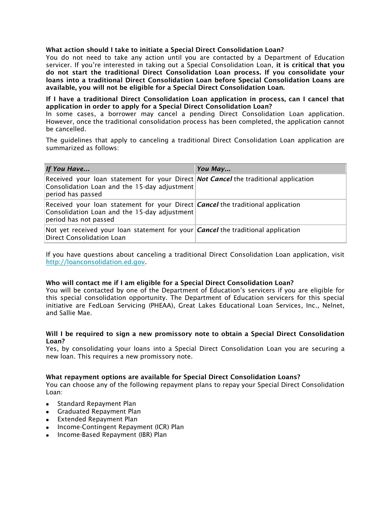# **What action should I take to initiate a Special Direct Consolidation Loan?**

You do not need to take any action until you are contacted by a Department of Education servicer. If you're interested in taking out a Special Consolidation Loan, **it is critical that you do not start the traditional Direct Consolidation Loan process. If you consolidate your loans into a traditional Direct Consolidation Loan before Special Consolidation Loans are available, you will not be eligible for a Special Direct Consolidation Loan.**

**If I have a traditional Direct Consolidation Loan application in process, can I cancel that application in order to apply for a Special Direct Consolidation Loan?**

In some cases, a borrower may cancel a pending Direct Consolidation Loan application. However, once the traditional consolidation process has been completed, the application cannot be cancelled.

The guidelines that apply to canceling a traditional Direct Consolidation Loan application are summarized as follows:

| If You Have                                                                                                                                                     | You May |
|-----------------------------------------------------------------------------------------------------------------------------------------------------------------|---------|
| Received your loan statement for your Direct Not Cancel the traditional application<br>Consolidation Loan and the 15-day adjustment<br>period has passed        |         |
| Received your loan statement for your Direct <i>Cancel</i> the traditional application<br>Consolidation Loan and the 15-day adjustment<br>period has not passed |         |
| Not yet received your loan statement for your <i>Cancel</i> the traditional application<br>Direct Consolidation Loan                                            |         |

If you have questions about canceling a traditional Direct Consolidation Loan application, visit [http://loanconsolidation.ed.gov.](http://loanconsolidation.ed.gov/)

#### **Who will contact me if I am eligible for a Special Direct Consolidation Loan?**

You will be contacted by one of the Department of Education's servicers if you are eligible for this special consolidation opportunity. The Department of Education servicers for this special initiative are FedLoan Servicing (PHEAA), Great Lakes Educational Loan Services, Inc., Nelnet, and Sallie Mae.

#### **Will I be required to sign a new promissory note to obtain a Special Direct Consolidation Loan?**

Yes, by consolidating your loans into a Special Direct Consolidation Loan you are securing a new loan. This requires a new promissory note.

#### **What repayment options are available for Special Direct Consolidation Loans?**

You can choose any of the following repayment plans to repay your Special Direct Consolidation Loan:

- Standard Repayment Plan
- Graduated Repayment Plan
- Extended Repayment Plan
- Income-Contingent Repayment (ICR) Plan
- Income-Based Repayment (IBR) Plan